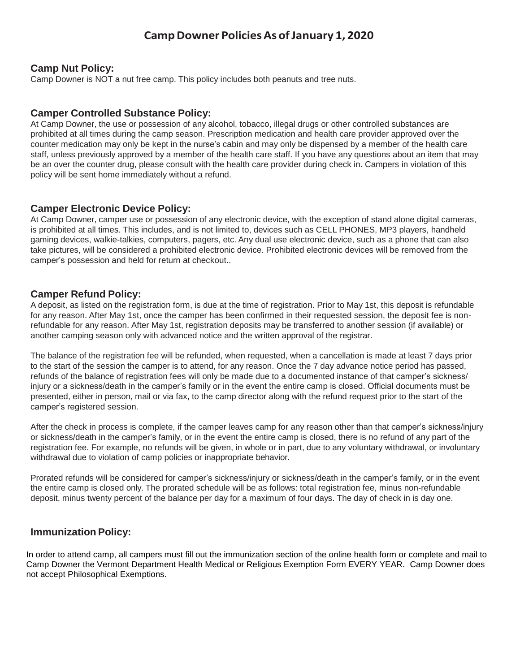# **CampDowner PoliciesAs ofJanuary 1, 2020**

### **Camp Nut Policy:**

Camp Downer is NOT a nut free camp. This policy includes both peanuts and tree nuts.

#### **Camper Controlled Substance Policy:**

At Camp Downer, the use or possession of any alcohol, tobacco, illegal drugs or other controlled substances are prohibited at all times during the camp season. Prescription medication and health care provider approved over the counter medication may only be kept in the nurse's cabin and may only be dispensed by a member of the health care staff, unless previously approved by a member of the health care staff. If you have any questions about an item that may be an over the counter drug, please consult with the health care provider during check in. Campers in violation of this policy will be sent home immediately without a refund.

## **Camper Electronic Device Policy:**

At Camp Downer, camper use or possession of any electronic device, with the exception of stand alone digital cameras, is prohibited at all times. This includes, and is not limited to, devices such as CELL PHONES, MP3 players, handheld gaming devices, walkie-talkies, computers, pagers, etc. Any dual use electronic device, such as a phone that can also take pictures, will be considered a prohibited electronic device. Prohibited electronic devices will be removed from the camper's possession and held for return at checkout..

#### **Camper Refund Policy:**

A deposit, as listed on the registration form, is due at the time of registration. Prior to May 1st, this deposit is refundable for any reason. After May 1st, once the camper has been confirmed in their requested session, the deposit fee is nonrefundable for any reason. After May 1st, registration deposits may be transferred to another session (if available) or another camping season only with advanced notice and the written approval of the registrar.

The balance of the registration fee will be refunded, when requested, when a cancellation is made at least 7 days prior to the start of the session the camper is to attend, for any reason. Once the 7 day advance notice period has passed, refunds of the balance of registration fees will only be made due to a documented instance of that camper's sickness/ injury or a sickness/death in the camper's family or in the event the entire camp is closed. Official documents must be presented, either in person, mail or via fax, to the camp director along with the refund request prior to the start of the camper's registered session.

After the check in process is complete, if the camper leaves camp for any reason other than that camper's sickness/injury or sickness/death in the camper's family, or in the event the entire camp is closed, there is no refund of any part of the registration fee. For example, no refunds will be given, in whole or in part, due to any voluntary withdrawal, or involuntary withdrawal due to violation of camp policies or inappropriate behavior.

Prorated refunds will be considered for camper's sickness/injury or sickness/death in the camper's family, or in the event the entire camp is closed only. The prorated schedule will be as follows: total registration fee, minus non-refundable deposit, minus twenty percent of the balance per day for a maximum of four days. The day of check in is day one.

## **Immunization Policy:**

In order to attend camp, all campers must fill out the immunization section of the online health form or complete and mail to Camp Downer the Vermont Department Health Medical or Religious Exemption Form EVERY YEAR. Camp Downer does not accept Philosophical Exemptions.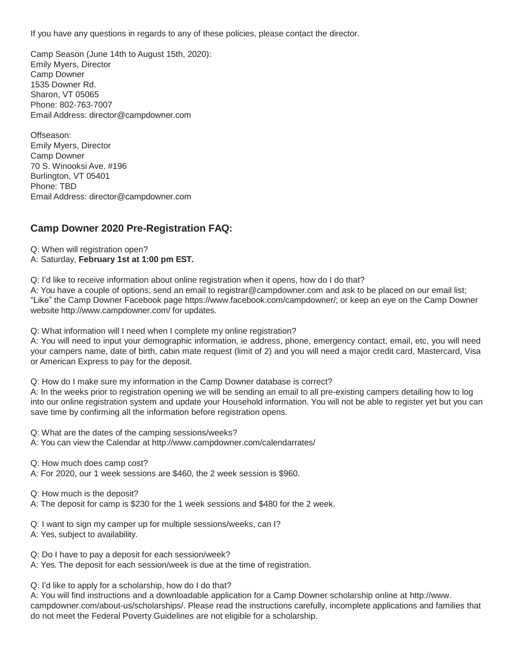If you have any questions in regards to any of these policies, please contact the director.

Camp Season (June 14th to August 15th, 2020): Emily Myers, Director Camp Downer 1535 Downer Rd. Sharon, VT 05065 Phone: 802-763-7007 Email Address: [director@campdowner.com](mailto:director@campdowner.com)

Offseason: Emily Myers, Director Camp Downer 70 S. Winooksi Ave. #196 Burlington, VT 05401 Phone: TBD Email Address: [director@campdowner.com](mailto:director@campdowner.com)

# **Camp Downer 2020 Pre-Registration FAQ:**

Q: When will registration open? A: Saturday, **February 1st at 1:00 pm EST.**

Q: I'd like to receive information about online registration when it opens, how do I do that?

A: You have a couple of options; send an email to [registrar@campdowner.com](mailto:registrar@campdowner.com) and ask to be placed on our email list; "Like" the Camp Downer Facebook page [https://www.facebook.com/campdowner/;](http://www.facebook.com/campdowner/%3B) or keep an eye on the Camp Downer website <http://www.campdowner.com/> for updates.

Q: What information will I need when I complete my online registration?

A: You will need to input your demographic information, ie address, phone, emergency contact, email, etc, you will need your campers name, date of birth, cabin mate request (limit of 2) and you will need a major credit card, Mastercard, Visa or American Express to pay for the deposit.

Q: How do I make sure my information in the Camp Downer database is correct?

A: In the weeks prior to registration opening we will be sending an email to all pre-existing campers detailing how to log into our online registration system and update your Household information. You will not be able to register yet but you can save time by confirming all the information before registration opens.

Q: What are the dates of the camping sessions/weeks?

A: You can view the Calendar at <http://www.campdowner.com/calendarrates/>

Q: How much does camp cost?

A: For 2020, our 1 week sessions are \$460, the 2 week session is \$960.

Q: How much is the deposit?

A: The deposit for camp is \$230 for the 1 week sessions and \$480 for the 2 week.

Q: I want to sign my camper up for multiple sessions/weeks, can I?

A: Yes, subject to availability.

Q: Do I have to pay a deposit for each session/week?

A: Yes. The deposit for each session/week is due at the time of registration.

Q: I'd like to apply for a scholarship, how do I do that?

A: You [will find instructions and a downloadable application for a Camp Downer scholarship online at http://www.](http://www/) campdowner.com/about-us/scholarships/. Please read the instructions carefully, incomplete applications and families that do not meet the Federal Poverty Guidelines are not eligible for a scholarship.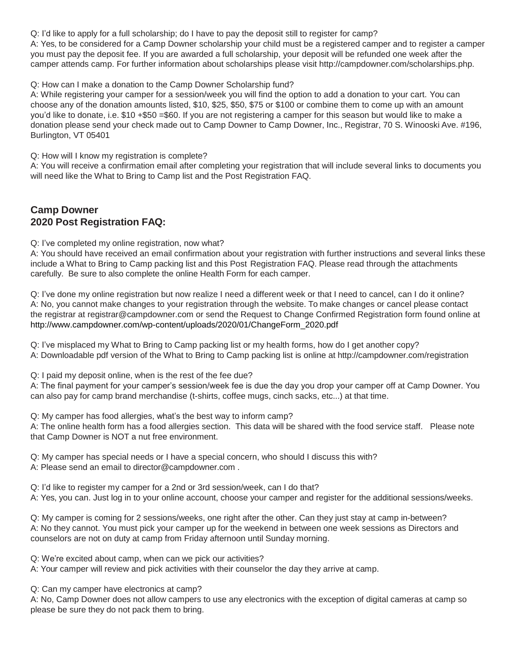Q: I'd like to apply for a full scholarship; do I have to pay the deposit still to register for camp?

A: Yes, to be considered for a Camp Downer scholarship your child must be a registered camper and to register a camper you must pay the deposit fee. If you are awarded a full scholarship, your deposit will be refunded one week after the camper attends camp. For further information about scholarships please visit [http://campdowner.com/scholarships.php.](http://campdowner.com/scholarships.php)

Q: How can I make a donation to the Camp Downer Scholarship fund?

A: While registering your camper for a session/week you will find the option to add a donation to your cart. You can choose any of the donation amounts listed, \$10, \$25, \$50, \$75 or \$100 or combine them to come up with an amount you'd like to donate, i.e. \$10 +\$50 =\$60. If you are not registering a camper for this season but would like to make a donation please send your check made out to Camp Downer to Camp Downer, Inc., Registrar, 70 S. Winooski Ave. #196, Burlington, VT 05401

Q: How will I know my registration is complete?

A: You will receive a confirmation email after completing your registration that will include several links to documents you will need like the What to Bring to Camp list and the Post Registration FAQ.

# **Camp Downer 2020 Post Registration FAQ:**

Q: I've completed my online registration, now what?

A: You should have received an email confirmation about your registration with further instructions and several links these include a What to Bring to Camp packing list and this Post Registration FAQ. Please read through the attachments carefully. Be sure to also complete the online Health Form for each camper.

Q: I've done my online registration but now realize I need a different week or that I need to cancel, can I do it online? A: No, you cannot make changes to your registration through the website. To make changes or cancel please contact [the registrar at registrar@campdowner.com](mailto:registrar@campdowner.com) or send the Request to Change Confirmed Registration form found online at http://www.campdowner.com/wp-content/uploads/2020/01/ChangeForm\_2020.pdf

Q: I've misplaced my What to Bring to Camp packing list or my health forms, how do I get another copy? A: Downloadable pdf version of the What to Bring to Camp packing list is online at [http://campdowner.c](http://campdowner/)om/registration

Q: I paid my deposit online, when is the rest of the fee due?

A: The final payment for your camper's session/week fee is due the day you drop your camper off at Camp Downer. You can also pay for camp brand merchandise (t-shirts, coffee mugs, cinch sacks, etc...) at that time.

Q: My camper has food allergies, what's the best way to inform camp?

A: The online health form has a food allergies section. This data will be shared with the food service staff. Please note that Camp Downer is NOT a nut free environment.

Q: My camper has special needs or I have a special concern, who should I discuss this with? A: Please send an email to [director@campdowner.com](mailto:director@campdowner.com) .

Q: I'd like to register my camper for a 2nd or 3rd session/week, can I do that?

A: Yes, you can. Just log in to your online account, choose your camper and register for the additional sessions/weeks.

Q: My camper is coming for 2 sessions/weeks, one right after the other. Can they just stay at camp in-between? A: No they cannot. You must pick your camper up for the weekend in between one week sessions as Directors and counselors are not on duty at camp from Friday afternoon until Sunday morning.

Q: We're excited about camp, when can we pick our activities?

A: Your camper will review and pick activities with their counselor the day they arrive at camp.

Q: Can my camper have electronics at camp?

A: No, Camp Downer does not allow campers to use any electronics with the exception of digital cameras at camp so please be sure they do not pack them to bring.